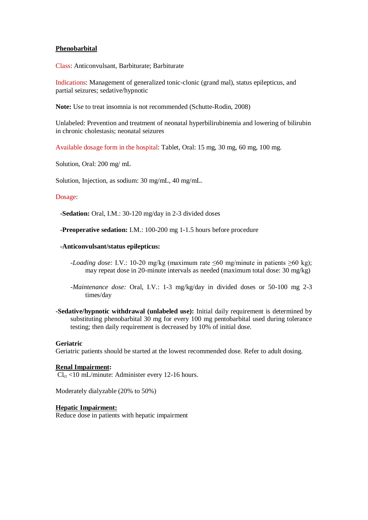### **Phenobarbital**

Class: Anticonvulsant, Barbiturate; Barbiturate

Indications: Management of generalized tonic-clonic (grand mal), status epilepticus, and partial seizures; sedative/hypnotic

**Note:** Use to treat insomnia is not recommended (Schutte-Rodin, 2008)

Unlabeled: Prevention and treatment of neonatal hyperbilirubinemia and lowering of bilirubin in chronic cholestasis; neonatal seizures

Available dosage form in the hospital: Tablet, Oral: 15 mg, 30 mg, 60 mg, 100 mg.

Solution, Oral: 200 mg/ mL

Solution, Injection, as sodium: 30 mg/mL, 40 mg/mL.

#### Dosage:

**-Sedation:** Oral, I.M.: 30-120 mg/day in 2-3 divided doses

**-Preoperative sedation:** I.M.: 100-200 mg 1-1.5 hours before procedure

### **-Anticonvulsant/status epilepticus:**

- *-Loading dose:* I.V.: 10-20 mg/kg (maximum rate ≤60 mg/minute in patients ≥60 kg); may repeat dose in 20-minute intervals as needed (maximum total dose: 30 mg/kg)
- *-Maintenance dose:* Oral, I.V.: 1-3 mg/kg/day in divided doses or 50-100 mg 2-3 times/day
- **-Sedative/hypnotic withdrawal (unlabeled use):** Initial daily requirement is determined by substituting phenobarbital 30 mg for every 100 mg pentobarbital used during tolerance testing; then daily requirement is decreased by 10% of initial dose.

# **Geriatric**

Geriatric patients should be started at the lowest recommended dose. Refer to adult dosing.

# **Renal Impairment:**

 $Cl_{cr}$  <10 mL/minute: Administer every 12-16 hours.

Moderately dialyzable (20% to 50%)

#### **Hepatic Impairment:**

Reduce dose in patients with hepatic impairment